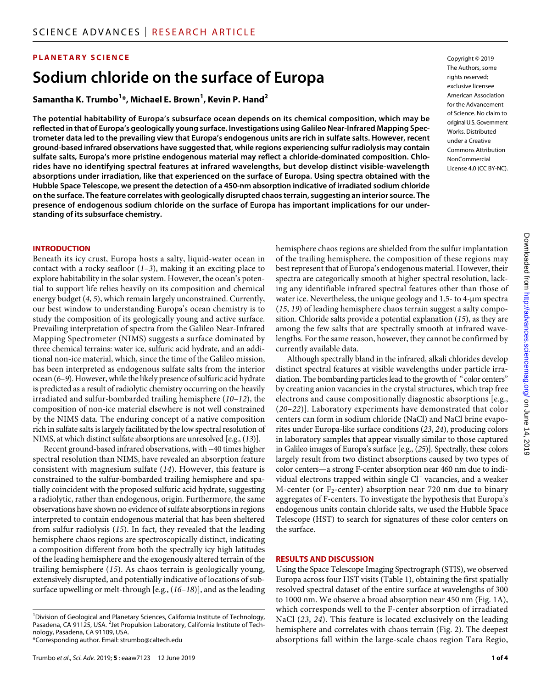## **PLANETARY SCIENCE**

# **Sodium chloride on the surface of Europa**

# **Samantha K. Trumbo1 \*, Michael E. Brown1 , Kevin P. Hand2**

**The potential habitability of Europa's subsurface ocean depends on its chemical composition, which may be reflected in that of Europa's geologically young surface. Investigations using Galileo Near-Infrared Mapping Spectrometer data led to the prevailing view that Europa's endogenous units are rich in sulfate salts. However, recent ground-based infrared observations have suggested that, while regions experiencing sulfur radiolysis may contain sulfate salts, Europa's more pristine endogenous material may reflect a chloride-dominated composition. Chlorides have no identifying spectral features at infrared wavelengths, but develop distinct visible-wavelength absorptions under irradiation, like that experienced on the surface of Europa. Using spectra obtained with the Hubble Space Telescope, we present the detection of a 450-nm absorption indicative of irradiated sodium chloride on the surface. The feature correlates with geologically disrupted chaos terrain, suggesting an interior source. The presence of endogenous sodium chloride on the surface of Europa has important implications for our understanding of its subsurface chemistry.**

Copyright © 2019 The Authors, some rights reserved: exclusive licensee American Association for the Advancement of Science. No claim to original U.S.Government Works. Distributed under a Creative Commons Attribution **NonCommercial** License 4.0 (CC BY-NC).

#### **INTRODUCTION**

Beneath its icy crust, Europa hosts a salty, liquid-water ocean in contact with a rocky seafloor  $(1-3)$ , making it an exciting place to explore habitability in the solar system. However, the ocean's potential to support life relies heavily on its composition and chemical energy budget (*4*, *5*), which remain largely unconstrained. Currently, our best window to understanding Europa's ocean chemistry is to study the composition of its geologically young and active surface. Prevailing interpretation of spectra from the Galileo Near-Infrared Mapping Spectrometer (NIMS) suggests a surface dominated by three chemical terrains: water ice, sulfuric acid hydrate, and an additional non-ice material, which, since the time of the Galileo mission, has been interpreted as endogenous sulfate salts from the interior ocean (*6*–*9*). However, while the likely presence of sulfuric acid hydrate is predicted as a result of radiolytic chemistry occurring on the heavily irradiated and sulfur-bombarded trailing hemisphere (*10*–*12*), the composition of non-ice material elsewhere is not well constrained by the NIMS data. The enduring concept of a native composition rich in sulfate salts is largely facilitated by the low spectral resolution of NIMS, at which distinct sulfate absorptions are unresolved [e.g., (*13*)].

Recent ground-based infrared observations, with ~40 times higher spectral resolution than NIMS, have revealed an absorption feature consistent with magnesium sulfate (*14*). However, this feature is constrained to the sulfur-bombarded trailing hemisphere and spatially coincident with the proposed sulfuric acid hydrate, suggesting a radiolytic, rather than endogenous, origin. Furthermore, the same observations have shown no evidence of sulfate absorptions in regions interpreted to contain endogenous material that has been sheltered from sulfur radiolysis (*15*). In fact, they revealed that the leading hemisphere chaos regions are spectroscopically distinct, indicating a composition different from both the spectrally icy high latitudes of the leading hemisphere and the exogenously altered terrain of the trailing hemisphere (*15*). As chaos terrain is geologically young, extensively disrupted, and potentially indicative of locations of subsurface upwelling or melt-through [e.g., (*16*–*18*)], and as the leading

hemisphere chaos regions are shielded from the sulfur implantation of the trailing hemisphere, the composition of these regions may best represent that of Europa's endogenous material. However, their spectra are categorically smooth at higher spectral resolution, lacking any identifiable infrared spectral features other than those of water ice. Nevertheless, the unique geology and 1.5- to 4-um spectra (*15*, *19*) of leading hemisphere chaos terrain suggest a salty composition. Chloride salts provide a potential explanation (*15*), as they are among the few salts that are spectrally smooth at infrared wavelengths. For the same reason, however, they cannot be confirmed by currently available data.

Although spectrally bland in the infrared, alkali chlorides develop distinct spectral features at visible wavelengths under particle irradiation. The bombarding particles lead to the growth of "color centers" by creating anion vacancies in the crystal structures, which trap free electrons and cause compositionally diagnostic absorptions [e.g., (*20*–*22*)]. Laboratory experiments have demonstrated that color centers can form in sodium chloride (NaCl) and NaCl brine evaporites under Europa-like surface conditions (*23*, *24*), producing colors in laboratory samples that appear visually similar to those captured in Galileo images of Europa's surface [e.g., (*25*)]. Spectrally, these colors largely result from two distinct absorptions caused by two types of color centers—a strong F-center absorption near 460 nm due to individual electrons trapped within single Cl− vacancies, and a weaker M-center (or  $F_2$ -center) absorption near 720 nm due to binary aggregates of F-centers. To investigate the hypothesis that Europa's endogenous units contain chloride salts, we used the Hubble Space Telescope (HST) to search for signatures of these color centers on the surface.

#### **RESULTS AND DISCUSSION**

Using the Space Telescope Imaging Spectrograph (STIS), we observed Europa across four HST visits (Table 1), obtaining the first spatially resolved spectral dataset of the entire surface at wavelengths of 300 to 1000 nm. We observe a broad absorption near 450 nm (Fig. 1A), which corresponds well to the F-center absorption of irradiated NaCl (*23*, *24*). This feature is located exclusively on the leading hemisphere and correlates with chaos terrain (Fig. 2). The deepest absorptions fall within the large-scale chaos region Tara Regio,

<sup>&</sup>lt;sup>1</sup> Division of Geological and Planetary Sciences, California Institute of Technology, Pasadena, CA 91125, USA. <sup>2</sup> Jet Propulsion Laboratory, California Institute of Technology, Pasadena, CA 91109, USA. \*Corresponding author. Email: strumbo@caltech.edu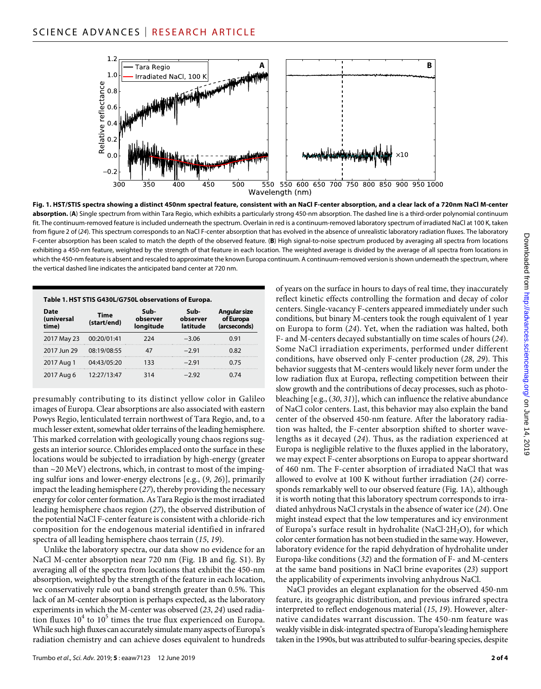

**Fig. 1. HST/STIS spectra showing a distinct 450nm spectral feature, consistent with an NaCl F-center absorption, and a clear lack of a 720nm NaCl M-center absorption.** (**A**) Single spectrum from within Tara Regio, which exhibits a particularly strong 450-nm absorption. The dashed line is a third-order polynomial continuum fit. The continuum-removed feature is included underneath the spectrum. Overlain in red is a continuum-removed laboratory spectrum of irradiated NaCl at 100 K, taken from figure 2 of (*24*). This spectrum corresponds to an NaCl F-center absorption that has evolved in the absence of unrealistic laboratory radiation fluxes. The laboratory F-center absorption has been scaled to match the depth of the observed feature. (**B**) High signal-to-noise spectrum produced by averaging all spectra from locations exhibiting a 450-nm feature, weighted by the strength of that feature in each location. The weighted average is divided by the average of all spectra from locations in which the 450-nm feature is absent and rescaled to approximate the known Europa continuum. A continuum-removed version is shown underneath the spectrum, where the vertical dashed line indicates the anticipated band center at 720 nm.

| Table 1. HST STIS G430L/G750L observations of Europa. |                            |                               |                              |                                                  |
|-------------------------------------------------------|----------------------------|-------------------------------|------------------------------|--------------------------------------------------|
| Date<br>(universal<br>time)                           | <b>Time</b><br>(start/end) | Sub-<br>observer<br>longitude | Sub-<br>observer<br>latitude | <b>Angular size</b><br>of Europa<br>(arcseconds) |
| 2017 May 23                                           | 00:20/01:41                | 224                           | $-3.06$                      | 0.91                                             |
| 2017 Jun 29                                           | 08:19/08:55                | 47                            | $-2.91$                      | 0.82                                             |
| 2017 Aug 1                                            | 04:43/05:20                | 133                           | $-2.91$                      | 0.75                                             |
| 2017 Aug 6                                            | 12:27/13:47                | 314                           | $-2.92$                      | 0.74                                             |

presumably contributing to its distinct yellow color in Galileo images of Europa. Clear absorptions are also associated with eastern Powys Regio, lenticulated terrain northwest of Tara Regio, and, to a much lesser extent, somewhat older terrains of the leading hemisphere. This marked correlation with geologically young chaos regions suggests an interior source. Chlorides emplaced onto the surface in these locations would be subjected to irradiation by high-energy (greater than  $\sim$ 20 MeV) electrons, which, in contrast to most of the impinging sulfur ions and lower-energy electrons [e.g., (*9*, *26*)], primarily impact the leading hemisphere (*27*), thereby providing the necessary energy for color center formation. As Tara Regio is the most irradiated leading hemisphere chaos region (*27*), the observed distribution of the potential NaCl F-center feature is consistent with a chloride-rich composition for the endogenous material identified in infrared spectra of all leading hemisphere chaos terrain (*15*, *19*).

Unlike the laboratory spectra, our data show no evidence for an NaCl M-center absorption near 720 nm (Fig. 1B and fig. S1). By averaging all of the spectra from locations that exhibit the 450-nm absorption, weighted by the strength of the feature in each location, we conservatively rule out a band strength greater than 0.5%. This lack of an M-center absorption is perhaps expected, as the laboratory experiments in which the M-center was observed (*23*, *24*) used radiation fluxes  $10^4$  to  $10^5$  times the true flux experienced on Europa. While such high fluxes can accurately simulate many aspects of Europa's radiation chemistry and can achieve doses equivalent to hundreds

of years on the surface in hours to days of real time, they inaccurately reflect kinetic effects controlling the formation and decay of color centers. Single-vacancy F-centers appeared immediately under such conditions, but binary M-centers took the rough equivalent of 1 year on Europa to form (*24*). Yet, when the radiation was halted, both F- and M-centers decayed substantially on time scales of hours (*24*). Some NaCl irradiation experiments, performed under different conditions, have observed only F-center production (*28*, *29*). This behavior suggests that M-centers would likely never form under the low radiation flux at Europa, reflecting competition between their slow growth and the contributions of decay processes, such as photobleaching [e.g., (*30*, *31*)], which can influence the relative abundance of NaCl color centers. Last, this behavior may also explain the band center of the observed 450-nm feature. After the laboratory radiation was halted, the F-center absorption shifted to shorter wavelengths as it decayed (*24*). Thus, as the radiation experienced at Europa is negligible relative to the fluxes applied in the laboratory, we may expect F-center absorptions on Europa to appear shortward of 460 nm. The F-center absorption of irradiated NaCl that was allowed to evolve at 100 K without further irradiation (*24*) corresponds remarkably well to our observed feature (Fig. 1A), although it is worth noting that this laboratory spectrum corresponds to irradiated anhydrous NaCl crystals in the absence of water ice (*24*). One might instead expect that the low temperatures and icy environment of Europa's surface result in hydrohalite (NaCl⋅2H2O), for which color center formation has not been studied in the same way. However, laboratory evidence for the rapid dehydration of hydrohalite under Europa-like conditions (*32*) and the formation of F- and M-centers at the same band positions in NaCl brine evaporites (*23*) support the applicability of experiments involving anhydrous NaCl.

NaCl provides an elegant explanation for the observed 450-nm feature, its geographic distribution, and previous infrared spectra interpreted to reflect endogenous material (*15*, *19*). However, alternative candidates warrant discussion. The 450-nm feature was weakly visible in disk-integrated spectra of Europa's leading hemisphere taken in the 1990s, but was attributed to sulfur-bearing species, despite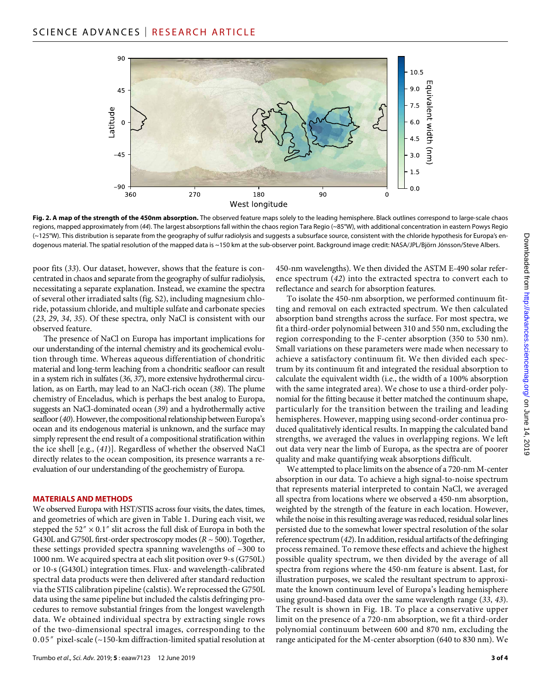

**Fig. 2. A map of the strength of the 450nm absorption.** The observed feature maps solely to the leading hemisphere. Black outlines correspond to large-scale chaos regions, mapped approximately from (*44*). The largest absorptions fall within the chaos region Tara Regio (~85°W), with additional concentration in eastern Powys Regio (~125°W). This distribution is separate from the geography of sulfur radiolysis and suggests a subsurface source, consistent with the chloride hypothesis for Europa's endogenous material. The spatial resolution of the mapped data is ~150 km at the sub-observer point. Background image credit: NASA/JPL/Björn Jónsson/Steve Albers.

poor fits (*33*). Our dataset, however, shows that the feature is concentrated in chaos and separate from the geography of sulfur radiolysis, necessitating a separate explanation. Instead, we examine the spectra of several other irradiated salts (fig. S2), including magnesium chloride, potassium chloride, and multiple sulfate and carbonate species (*23*, *29*, *34*, *35*). Of these spectra, only NaCl is consistent with our observed feature.

The presence of NaCl on Europa has important implications for our understanding of the internal chemistry and its geochemical evolution through time. Whereas aqueous differentiation of chondritic material and long-term leaching from a chondritic seafloor can result in a system rich in sulfates (*36*, *37*), more extensive hydrothermal circulation, as on Earth, may lead to an NaCl-rich ocean (*38*). The plume chemistry of Enceladus, which is perhaps the best analog to Europa, suggests an NaCl-dominated ocean (*39*) and a hydrothermally active seafloor (*40*). However, the compositional relationship between Europa's ocean and its endogenous material is unknown, and the surface may simply represent the end result of a compositional stratification within the ice shell [e.g., (*41*)]. Regardless of whether the observed NaCl directly relates to the ocean composition, its presence warrants a reevaluation of our understanding of the geochemistry of Europa.

#### **MATERIALS AND METHODS**

We observed Europa with HST/STIS across four visits, the dates, times, and geometries of which are given in Table 1. During each visit, we stepped the 52"  $\times$  0.1" slit across the full disk of Europa in both the G430L and G750L first-order spectroscopy modes (*R* ~ 500). Together, these settings provided spectra spanning wavelengths of ~300 to 1000 nm. We acquired spectra at each slit position over 9-s (G750L) or 10-s (G430L) integration times. Flux- and wavelength-calibrated spectral data products were then delivered after standard reduction via the STIS calibration pipeline (calstis). We reprocessed the G750L data using the same pipeline but included the calstis defringing procedures to remove substantial fringes from the longest wavelength data. We obtained individual spectra by extracting single rows of the two-dimensional spectral images, corresponding to the 0.05″ pixel-scale (~150-km diffraction-limited spatial resolution at

450-nm wavelengths). We then divided the ASTM E-490 solar reference spectrum (*42*) into the extracted spectra to convert each to reflectance and search for absorption features.

To isolate the 450-nm absorption, we performed continuum fitting and removal on each extracted spectrum. We then calculated absorption band strengths across the surface. For most spectra, we fit a third-order polynomial between 310 and 550 nm, excluding the region corresponding to the F-center absorption (350 to 530 nm). Small variations on these parameters were made when necessary to achieve a satisfactory continuum fit. We then divided each spectrum by its continuum fit and integrated the residual absorption to calculate the equivalent width (i.e., the width of a 100% absorption with the same integrated area). We chose to use a third-order polynomial for the fitting because it better matched the continuum shape, particularly for the transition between the trailing and leading hemispheres. However, mapping using second-order continua produced qualitatively identical results. In mapping the calculated band strengths, we averaged the values in overlapping regions. We left out data very near the limb of Europa, as the spectra are of poorer quality and make quantifying weak absorptions difficult.

We attempted to place limits on the absence of a 720-nm M-center absorption in our data. To achieve a high signal-to-noise spectrum that represents material interpreted to contain NaCl, we averaged all spectra from locations where we observed a 450-nm absorption, weighted by the strength of the feature in each location. However, while the noise in this resulting average was reduced, residual solar lines persisted due to the somewhat lower spectral resolution of the solar reference spectrum (*42*). In addition, residual artifacts of the defringing process remained. To remove these effects and achieve the highest possible quality spectrum, we then divided by the average of all spectra from regions where the 450-nm feature is absent. Last, for illustration purposes, we scaled the resultant spectrum to approximate the known continuum level of Europa's leading hemisphere using ground-based data over the same wavelength range (*33*, *43*). The result is shown in Fig. 1B. To place a conservative upper limit on the presence of a 720-nm absorption, we fit a third-order polynomial continuum between 600 and 870 nm, excluding the range anticipated for the M-center absorption (640 to 830 nm). We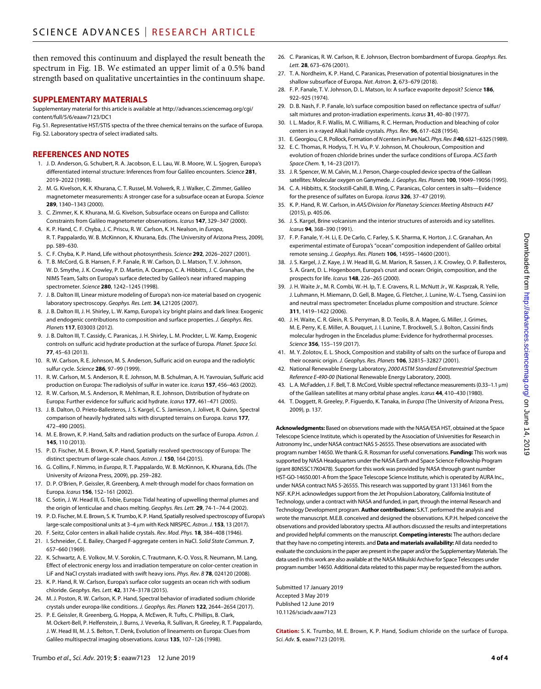then removed this continuum and displayed the result beneath the spectrum in Fig. 1B. We estimated an upper limit of a 0.5% band strength based on qualitative uncertainties in the continuum shape.

#### **SUPPLEMENTARY MATERIALS**

Supplementary material for this article is available at [http://advances.sciencemag.org/cgi/](http://advances.sciencemag.org/cgi/content/full/5/6/eaaw7123/DC1) [content/full/5/6/eaaw7123/DC1](http://advances.sciencemag.org/cgi/content/full/5/6/eaaw7123/DC1)

Fig. S1. Representative HST/STIS spectra of the three chemical terrains on the surface of Europa. Fig. S2. Laboratory spectra of select irradiated salts.

#### **REFERENCES AND NOTES**

- 1. J. D. Anderson, G. Schubert, R. A. Jacobson, E. L. Lau, W. B. Moore, W. L. Sjogren, Europa's differentiated internal structure: Inferences from four Galileo encounters. *Science* **281**, 2019–2022 (1998).
- 2. M. G. Kivelson, K. K. Khurana, C. T. Russel, M. Volwerk, R. J. Walker, C. Zimmer, Galileo magnetometer measurements: A stronger case for a subsurface ocean at Europa. *Science* **289**, 1340–1343 (2000).
- 3. C. Zimmer, K. K. Khurana, M. G. Kivelson, Subsurface oceans on Europa and Callisto: Constraints from Galileo magnetometer observations. *Icarus* **147**, 329–347 (2000).
- 4. K. P. Hand, C. F. Chyba, J. C. Priscu, R. W. Carlson, K. H. Nealson, in *Europa*, R. T. Pappalardo, W. B. McKinnon, K. Khurana, Eds. (The University of Arizona Press, 2009), pp. 589–630.
- 5. C. F. Chyba, K. P. Hand, Life without photosynthesis. *Science* **292**, 2026–2027 (2001).
- 6. T. B. McCord, G. B. Hansen, F. P. Fanale, R. W. Carlson, D. L. Matson, T. V. Johnson, W. D. Smythe, J. K. Crowley, P. D. Martin, A. Ocampo, C. A. Hibbitts, J. C. Granahan, the NIMS Team, Salts on Europa's surface detected by Galileo's near infrared mapping spectrometer. *Science* **280**, 1242–1245 (1998).
- 7. J. B. Dalton III, Linear mixture modeling of Europa's non-ice material based on cryogenic laboratory spectroscopy. *Geophys. Res. Lett.* **34**, L21205 (2007).
- 8. J. B. Dalton III, J. H. Shirley, L. W. Kamp, Europa's icy bright plains and dark linea: Exogenic and endogenic contributions to composition and surface properties. *J. Geophys. Res. Planets* **117**, E03003 (2012).
- 9. J. B. Dalton III, T. Cassidy, C. Paranicas, J. H. Shirley, L. M. Prockter, L. W. Kamp, Exogenic controls on sulfuric acid hydrate production at the surface of Europa. *Planet. Space Sci.* **77**, 45–63 (2013).
- 10. R. W. Carlson, R. E. Johnson, M. S. Anderson, Sulfuric acid on europa and the radiolytic sulfur cycle. *Science* **286**, 97–99 (1999).
- 11. R. W. Carlson, M. S. Anderson, R. E. Johnson, M. B. Schulman, A. H. Yavrouian, Sulfuric acid production on Europa: The radiolysis of sulfur in water ice. *Icarus* **157**, 456–463 (2002).
- 12. R. W. Carlson, M. S. Anderson, R. Mehlman, R. E. Johnson, Distribution of hydrate on Europa: Further evidence for sulfuric acid hydrate. *Icarus* **177**, 461–471 (2005).
- 13. J. B. Dalton, O. Prieto-Ballesteros, J. S. Kargel, C. S. Jamieson, J. Jolivet, R. Quinn, Spectral comparison of heavily hydrated salts with disrupted terrains on Europa. *Icarus* **177**, 472–490 (2005).
- 14. M. E. Brown, K. P. Hand, Salts and radiation products on the surface of Europa. *Astron. J.* **145**, 110 (2013).
- 15. P. D. Fischer, M. E. Brown, K. P. Hand, Spatially resolved spectroscopy of Europa: The distinct spectrum of large-scale chaos. *Astron. J.* **150**, 164 (2015).
- 16. G. Collins, F. Nimmo, in *Europa*, R. T. Pappalardo, W. B. McKinnon, K. Khurana, Eds. (The University of Arizona Press, 2009), pp. 259–282.
- 17. D. P. O'Brien, P. Geissler, R. Greenberg, A melt-through model for chaos formation on Europa. *Icarus* **156**, 152–161 (2002).
- 18. C. Sotin, J. W. Head III, G. Tobie, Europa: Tidal heating of upwelling thermal plumes and the origin of lenticulae and chaos melting. *Geophys. Res. Lett.* **29**, 74-1–74-4 (2002).
- 19. P. D. Fischer, M. E. Brown, S. K. Trumbo, K. P. Hand, Spatially resolved spectroscopy of Europa's large-scale compositional units at 3–4 m with Keck NIRSPEC. *Astron. J.* **153**, 13 (2017).
- 20. F. Seitz, Color centers in alkali halide crystals. *Rev. Mod. Phys.* **18**, 384–408 (1946).
- 21. I. Schneider, C. E. Bailey, Charged F-aggregate centers in NaCl. *Solid State Commun.* **7**, 657–660 (1969).
- 22. K. Schwartz, A. E. Volkov, M. V. Sorokin, C. Trautmann, K.-O. Voss, R. Neumann, M. Lang, Effect of electronic energy loss and irradiation temperature on color-center creation in LiF and NaCl crystals irradiated with swift heavy ions. *Phys. Rev. B* **78**, 024120 (2008).
- 23. K. P. Hand, R. W. Carlson, Europa's surface color suggests an ocean rich with sodium chloride. *Geophys. Res. Lett.* **42**, 3174–3178 (2015).
- 24. M. J. Poston, R. W. Carlson, K. P. Hand, Spectral behavior of irradiated sodium chloride crystals under europa-like conditions. *J. Geophys. Res. Planets* **122**, 2644–2654 (2017).
- 25. P. E. Geissler, R. Greenberg, G. Hoppa, A. McEwen, R. Tufts, C. Phillips, B. Clark, M. Ockert-Bell, P. Helfenstein, J. Burns, J. Veverka, R. Sullivan, R. Greeley, R. T. Pappalardo, J. W. Head III, M. J. S. Belton, T. Denk, Evolution of lineaments on Europa: Clues from Galileo multispectral imaging observations. *Icarus* **135**, 107–126 (1998).
- 26. C. Paranicas, R. W. Carlson, R. E. Johnson, Electron bombardment of Europa. *Geophys. Res. Lett.* **28**, 673–676 (2001).
- 27. T. A. Nordheim, K. P. Hand, C. Paranicas, Preservation of potential biosignatures in the shallow subsurface of Europa. *Nat. Astron.* **2**, 673–679 (2018).
- 28. F. P. Fanale, T. V. Johnson, D. L. Matson, Io: A surface evaporite deposit? *Science* **186**, 922–925 (1974).
- 29. D. B. Nash, F. P. Fanale, Io's surface composition based on reflectance spectra of sulfur/ salt mixtures and proton-irradiation experiments. *Icarus* **31**, 40–80 (1977).
- 30. I. L. Mador, R. F. Wallis, M. C. Williams, R. C. Herman, Production and bleaching of color centers in x-rayed Alkali halide crystals. *Phys. Rev.* **96**, 617–628 (1954).
- 31. E.Georgiou, C. R. Pollock, Formation of *N* centers in Pure NaCl. *Phys. Rev. B***40**, 6321–6325 (1989).
- 32. E. C. Thomas, R. Hodyss, T. H. Vu, P. V. Johnson, M. Choukroun, Composition and evolution of frozen chloride brines under the surface conditions of Europa. *ACS Earth Space Chem.* **1**, 14–23 (2017).
- 33. J. R. Spencer, W. M. Calvin, M.J. Person, Charge-coupled device spectra of the Galilean satellites: Molecular oxygen on Ganymede. *J. Geophys. Res. Planets* **100**, 19049–19056 (1995).
- 34. C. A. Hibbitts, K. Stockstill-Cahill, B. Wing, C. Paranicas, Color centers in salts—Evidence for the presence of sulfates on Europa. *Icarus* **326**, 37–47 (2019).
- 35. K. P. Hand, R. W. Carlson, in *AAS/Division for Planetary Sciences Meeting Abstracts #47* (2015), p. 405.06.
- 36. J. S. Kargel, Brine volcanism and the interior structures of asteroids and icy satellites. *Icarus* **94**, 368–390 (1991).
- 37. F. P. Fanale, Y.-H. Li, E. De Carlo, C. Farley, S. K. Sharma, K. Horton, J. C. Granahan, An experimental estimate of Europa's "ocean" composition independent of Galileo orbital remote sensing. *J. Geophys. Res. Planets* **106**, 14595–14600 (2001).
- 38. J. S. Kargel, J. Z. Kaye, J. W. Head III, G. M. Marion, R. Sassen, J. K. Crowley, O. P. Ballesteros, S. A. Grant, D. L. Hogenboom, Europa's crust and ocean: Origin, composition, and the prospects for life. *Icarus* **148**, 226–265 (2000).
- 39. J. H. Waite Jr., M. R. Combi, W.-H. Ip, T. E. Cravens, R. L. McNutt Jr., W. Kasprzak, R. Yelle, J. Luhmann, H. Miemann, D. Gell, B. Magee, G. Fletcher, J. Lunine, W.-L. Tseng, Cassini ion and neutral mass spectrometer: Enceladus plume composition and structure. *Science* **311**, 1419–1422 (2006).
- 40. J. H. Waite, C. R. Glein, R. S. Perryman, B. D. Teolis, B. A. Magee, G. Miller, J. Grimes, M. E. Perry, K. E. Miller, A. Bouquet, J. I. Lunine, T. Brockwell, S. J. Bolton, Cassini finds molecular hydrogen in the Enceladus plume: Evidence for hydrothermal processes. *Science* **356**, 155–159 (2017).
- 41. M. Y. Zolotov, E. L. Shock, Composition and stability of salts on the surface of Europa and their oceanic origin. *J. Geophys. Res. Planets* **106**, 32815–32827 (2001).
- 42. National Renewable Energy Laboratory, *2000 ASTM Standard Extraterrestrial Spectrum Reference E-490-00* (National Renewable Energy Laboratory, 2000).
- 43. L. A. McFadden, J. F. Bell, T. B. McCord, Visible spectral reflectance measurements (0.33–1.1 m) of the Galilean satellites at many orbital phase angles. *Icarus* **44**, 410–430 (1980).
- 44. T. Doggett, R. Greeley, P. Figuerdo, K. Tanaka, in *Europa* (The University of Arizona Press, 2009), p. 137.

**Acknowledgments:** Based on observations made with the NASA/ESA HST, obtained at the Space Telescope Science Institute, which is operated by the Association of Universities for Research in Astronomy Inc., under NASA contract NAS 5-26555. These observations are associated with program number 14650. We thank G. R. Rossman for useful conversations. **Funding:** This work was supported by NASA Headquarters under the NASA Earth and Space Science Fellowship Program (grant 80NSSC17K0478). Support for this work was provided by NASA through grant number HST-GO-14650.001-A from the Space Telescope Science Institute, which is operated by AURA Inc., under NASA contract NAS 5-26555. This research was supported by grant 1313461 from the NSF. K.P.H. acknowledges support from the Jet Propulsion Laboratory, California Institute of Technology, under a contract with NASA and funded, in part, through the internal Research and Technology Development program. **Author contributions:** S.K.T. performed the analysis and wrote the manuscript. M.E.B. conceived and designed the observations. K.P.H. helped conceive the observations and provided laboratory spectra. All authors discussed the results and interpretations and provided helpful comments on the manuscript. **Competing interests:** The authors declare that they have no competing interests. and **Data and materials availability:** All data needed to evaluate the conclusions in the paper are present in the paper and/or the Supplementary Materials. The data used in this work are also available at the NASA Mikulski Archive for Space Telescopes under program number 14650. Additional data related to this paper may be requested from the authors.

Submitted 17 January 2019 Accepted 3 May 2019 Published 12 June 2019 10.1126/sciadv.aaw7123

**Citation:** S. K. Trumbo, M. E. Brown, K. P. Hand, Sodium chloride on the surface of Europa. *Sci. Adv.* **5**, eaaw7123 (2019).